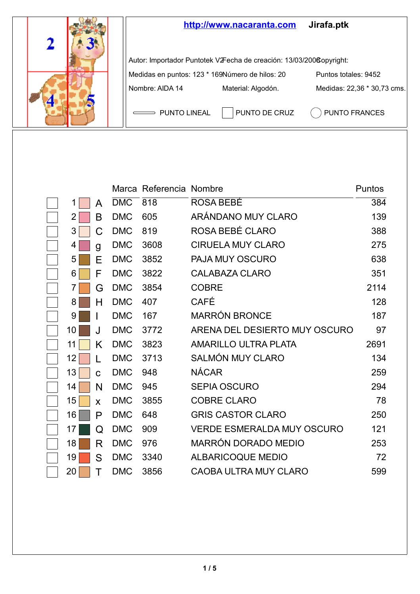

|    |    |            | Marca Referencia Nombre |                               | Puntos |
|----|----|------------|-------------------------|-------------------------------|--------|
| 1  | A  | <b>DMC</b> | 818                     | ROSA BEBÉ                     | 384    |
| 2  | в  | <b>DMC</b> | 605                     | ARÁNDANO MUY CI ARO           | 139    |
| 3  | C  | <b>DMC</b> | 819                     | ROSA BEBÉ CLARO               | 388    |
| 4  | g  | <b>DMC</b> | 3608                    | CIRUELA MUY CLARO             | 275    |
| 5  | F  | <b>DMC</b> | 3852                    | PAJA MUY OSCURO               | 638    |
| 6  | F  | <b>DMC</b> | 3822                    | CALABAZA CLARO                | 351    |
| 7  | G  | <b>DMC</b> | 3854                    | <b>COBRE</b>                  | 2114   |
| 8  | н  | <b>DMC</b> | 407                     | CAFÉ                          | 128    |
| 9  |    | <b>DMC</b> | 167                     | <b>MARRÓN BRONCE</b>          | 187    |
| 10 | J. | <b>DMC</b> | 3772                    | ARENA DEL DESIERTO MUY OSCURO | 97     |
| 11 | Κ  | <b>DMC</b> | 3823                    | AMARILLO ULTRA PLATA          | 2691   |
| 12 | L  | <b>DMC</b> | 3713                    | SALMÓN MUY CLARO              | 134    |
| 13 | C  | <b>DMC</b> | 948                     | <b>NÁCAR</b>                  | 259    |
| 14 | N  | <b>DMC</b> | 945                     | SEPIA OSCURO                  | 294    |
| 15 | x  | <b>DMC</b> | 3855                    | <b>COBRE CLARO</b>            | 78     |
| 16 | P  | <b>DMC</b> | 648                     | <b>GRIS CASTOR CLARO</b>      | 250    |
| 17 | Q  | <b>DMC</b> | 909                     | VERDE ESMERALDA MUY OSCURO    | 121    |
| 18 | R  | <b>DMC</b> | 976                     | MARRÓN DORADO MEDIO           | 253    |
| 19 | S  | <b>DMC</b> | 3340                    | ALBARICOQUE MEDIO             | 72     |
| 20 | т  | <b>DMC</b> | 3856                    | CAOBA ULTRA MUY CLARO         | 599    |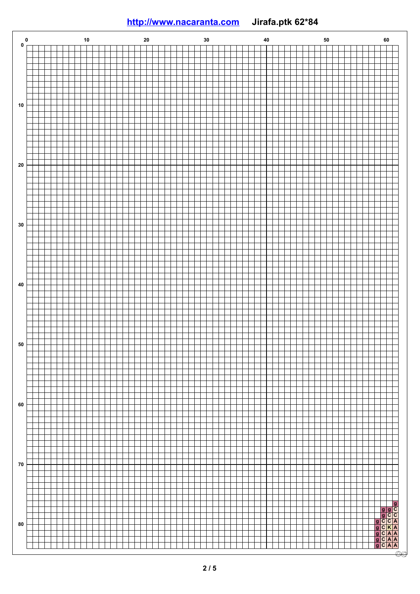## **<http://www.nacaranta.com>Jirafa.ptk 62\*84**

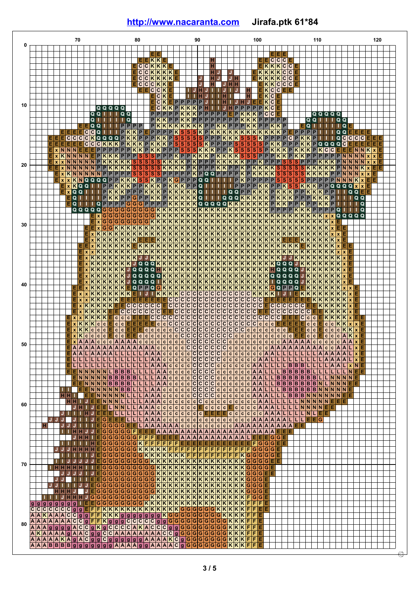## **<http://www.nacaranta.com>Jirafa.ptk 61\*84**

|    |                     |                                    |      | 70           |                                         |                |                              |                                                      |                              |                                |                                  | 80                                                 |                                                         |                                           |                         |                                 |                                 |                         | 90                                                                   |                                                            |                                           |                      |                                                                   |    |                                                                   | 100                                                    |                                                              |                                                    |                                                    |                       |                                                     | 110                            |                               |                                           |                                             |                               |            | 120 |  |
|----|---------------------|------------------------------------|------|--------------|-----------------------------------------|----------------|------------------------------|------------------------------------------------------|------------------------------|--------------------------------|----------------------------------|----------------------------------------------------|---------------------------------------------------------|-------------------------------------------|-------------------------|---------------------------------|---------------------------------|-------------------------|----------------------------------------------------------------------|------------------------------------------------------------|-------------------------------------------|----------------------|-------------------------------------------------------------------|----|-------------------------------------------------------------------|--------------------------------------------------------|--------------------------------------------------------------|----------------------------------------------------|----------------------------------------------------|-----------------------|-----------------------------------------------------|--------------------------------|-------------------------------|-------------------------------------------|---------------------------------------------|-------------------------------|------------|-----|--|
|    |                     |                                    |      |              |                                         |                |                              |                                                      |                              |                                |                                  |                                                    |                                                         |                                           |                         |                                 |                                 |                         |                                                                      |                                                            |                                           |                      |                                                                   |    |                                                                   |                                                        |                                                              |                                                    |                                                    |                       |                                                     |                                |                               |                                           |                                             |                               |            |     |  |
|    |                     |                                    |      |              |                                         |                |                              |                                                      |                              |                                |                                  |                                                    |                                                         |                                           |                         |                                 |                                 |                         |                                                                      |                                                            |                                           |                      |                                                                   |    |                                                                   |                                                        | $\overline{\mathbf{c}}$                                      | $\overline{\mathbf{c}}$<br>$\overline{\mathsf{c}}$ |                                                    |                       |                                                     |                                |                               |                                           |                                             |                               |            |     |  |
|    |                     |                                    |      |              |                                         |                |                              |                                                      |                              |                                |                                  | $\overline{\mathbf{c}}$<br>$\overline{\mathbf{c}}$ | $\overline{\mathbf{c}}$<br>$\overline{\mathsf{c}}$<br>ℼ | KKE                                       | $K$ $K$ $K$             |                                 |                                 |                         |                                                                      |                                                            | ਜ<br>н                                    |                      |                                                                   |    |                                                                   | π<br>Е<br>$\overline{\mathsf{k}}\overline{\mathsf{k}}$ | $\overline{\mathbf{K}}$                                      | KC<br>टि<br>ĸ                                      | $\overline{\mathsf{c}}$<br>$\overline{\mathsf{c}}$ |                       |                                                     |                                |                               |                                           |                                             |                               |            |     |  |
|    |                     |                                    |      |              |                                         |                |                              |                                                      |                              |                                |                                  | C                                                  |                                                         | CKKK                                      |                         |                                 |                                 |                         |                                                                      |                                                            | н                                         |                      | J                                                                 |    | F                                                                 | $K$ $K$                                                | κ<br>K                                                       | K C                                                | $\overline{c}$                                     |                       |                                                     |                                |                               |                                           |                                             |                               |            |     |  |
|    |                     |                                    |      |              |                                         |                |                              |                                                      |                              |                                |                                  | $\overline{c}$                                     | C<br>c<br>$\overline{c}$                                | κ                                         | κ                       |                                 |                                 |                         |                                                                      |                                                            | н                                         |                      | H H                                                               |    |                                                                   |                                                        | κ<br>ĸ                                                       | C<br>lc.                                           | ١c                                                 |                       |                                                     |                                |                               |                                           |                                             |                               |            |     |  |
|    |                     |                                    |      |              |                                         |                |                              |                                                      |                              |                                |                                  |                                                    |                                                         | $\overline{c}$<br>C                       | ĸ<br>ĸ                  |                                 |                                 | TТ                      | н<br>н                                                               |                                                            | п<br>T.                                   | IJ                   |                                                                   |    |                                                                   |                                                        | $\overline{\mathsf{c}}$<br>$\overline{\mathbf{K}}$<br>c<br>ĸ | C                                                  |                                                    |                       |                                                     |                                |                               |                                           |                                             |                               |            |     |  |
| 10 |                     |                                    |      |              |                                         |                |                              |                                                      |                              |                                |                                  |                                                    |                                                         | С                                         | κ                       | P<br>ΙF                         | P                               | P                       | $\overline{P}$<br>P                                                  | J                                                          | T.<br>т                                   | ШΙ                   |                                                                   |    | IH JIE                                                            | Е                                                      | κ<br>$\overline{c}$                                          |                                                    |                                                    |                       |                                                     |                                |                               |                                           |                                             |                               |            |     |  |
|    |                     |                                    |      |              |                                         | Q              | Q                            | т<br>ш                                               | п                            | Q                              | o                                |                                                    |                                                         | C<br>P                                    | P                       | K K P K K K<br>P                |                                 | KK                      | P<br>$\overline{\mathsf{P}}$                                         | $P$ $P$                                                    | P                                         | P                    | $\overline{\mathsf{P}}$<br>Е                                      |    | P<br>K K K                                                        | $\overline{\mathsf{P}}$                                | C<br>ĸ<br>Ιc<br>$\overline{\mathsf{c}}$                      |                                                    |                                                    |                       | Q                                                   | Q                              | Q                             | Q                                         |                                             |                               |            |     |  |
|    |                     |                                    |      |              |                                         | Q              | т                            |                                                      |                              |                                | Q                                |                                                    |                                                         | P<br>ĸ                                    | κ                       |                                 |                                 |                         |                                                                      |                                                            |                                           |                      |                                                                   |    | $P$  P K K P P P P P P P K K K                                    |                                                        | $P$ $P$ $P$ $P$ $P$                                          |                                                    |                                                    |                       | Q                                                   | $\mathbf Q$<br>т               | п                             | т<br>Q                                    |                                             |                               |            |     |  |
|    |                     |                                    |      |              | Ε                                       | Q<br> c c      | Q<br>Q                       | L.<br>ш.<br>T.                                       | <b>TI</b>                    | $P$ $P$<br>$\mathsf{P}$        | K K                              | P                                                  | PEPP                                                    | P                                         |                         |                                 |                                 |                         |                                                                      |                                                            |                                           |                      |                                                                   |    |                                                                   |                                                        |                                                              |                                                    |                                                    | <b>P</b>              | $\overline{Q}$<br>T<br>$\overline{\mathsf{P}}$<br>P | т<br>ш                         | L.                            | TТ<br>Q                                   | Q<br>Q                                      | Е                             |            |     |  |
|    |                     |                                    |      |              |                                         |                |                              |                                                      |                              |                                |                                  |                                                    |                                                         |                                           |                         |                                 |                                 |                         |                                                                      |                                                            |                                           |                      |                                                                   |    |                                                                   |                                                        |                                                              |                                                    |                                                    |                       |                                                     |                                |                               | 111Q                                      |                                             | C                             | c c        |     |  |
|    |                     |                                    |      |              |                                         |                |                              |                                                      |                              |                                |                                  |                                                    |                                                         |                                           |                         |                                 |                                 |                         |                                                                      |                                                            |                                           |                      |                                                                   |    |                                                                   |                                                        |                                                              |                                                    |                                                    |                       |                                                     |                                |                               |                                           | C<br>Е                                      | Е<br>IN.                      | N          |     |  |
|    |                     | $x$ $K$ $N$ $N$ $N$ $N$            |      |              |                                         |                |                              |                                                      |                              |                                |                                  |                                                    |                                                         |                                           |                         |                                 |                                 |                         |                                                                      |                                                            |                                           |                      |                                                                   |    |                                                                   |                                                        |                                                              |                                                    |                                                    |                       |                                                     |                                |                               |                                           | N                                           | N                             | $N$ $N$    |     |  |
| 20 |                     | <b>x x N N N N N P K K K K K S</b> |      |              |                                         |                |                              |                                                      |                              |                                |                                  |                                                    |                                                         |                                           |                         |                                 |                                 |                         |                                                                      |                                                            |                                           |                      |                                                                   |    |                                                                   |                                                        |                                                              |                                                    |                                                    |                       |                                                     | KKKKFN                         |                               |                                           | PPKKKPNN                                    |                               | Ιĸ         |     |  |
|    |                     |                                    |      |              |                                         |                |                              |                                                      |                              |                                |                                  |                                                    |                                                         |                                           |                         |                                 |                                 |                         |                                                                      |                                                            |                                           |                      |                                                                   |    |                                                                   |                                                        |                                                              |                                                    |                                                    |                       |                                                     |                                |                               |                                           |                                             | $N \overline{N} \overline{N}$ |            |     |  |
|    |                     |                                    |      |              |                                         |                |                              |                                                      |                              |                                |                                  |                                                    |                                                         |                                           |                         |                                 |                                 |                         |                                                                      |                                                            |                                           |                      |                                                                   |    |                                                                   |                                                        |                                                              |                                                    |                                                    |                       |                                                     |                                |                               |                                           | QQ                                          | PPPPNNNKX                     | <u>xix</u> |     |  |
|    |                     |                                    |      |              |                                         |                |                              |                                                      |                              |                                |                                  |                                                    |                                                         |                                           |                         |                                 |                                 |                         |                                                                      |                                                            |                                           |                      |                                                                   |    |                                                                   |                                                        |                                                              |                                                    |                                                    |                       |                                                     |                                |                               |                                           | T.                                          | $Q$ $Q$ $E$                   |            |     |  |
|    |                     |                                    |      |              |                                         |                |                              |                                                      |                              |                                |                                  |                                                    |                                                         |                                           |                         |                                 |                                 |                         |                                                                      |                                                            |                                           |                      |                                                                   |    |                                                                   |                                                        |                                                              |                                                    |                                                    |                       |                                                     |                                |                               |                                           |                                             | т<br>Q<br>п.                  | Q<br>Q     |     |  |
|    |                     |                                    |      | $\Omega$     | $\Omega$<br>$\Omega$                    | Q              | $Q$ $\overline{G}$           |                                                      | icic.                        | G                              | <b>GGG</b>                       |                                                    | lG                                                      |                                           |                         |                                 |                                 |                         |                                                                      |                                                            |                                           |                      | KKKKKKKKKKKKKK                                                    |    | K K K K                                                           |                                                        |                                                              |                                                    | PPPPKKK                                            |                       |                                                     | P                              | P                             |                                           |                                             | <b>POIIIO</b>                 |            |     |  |
|    |                     |                                    |      |              |                                         |                | $\mathbf{x}$<br>$\mathbf{x}$ | GIGIG<br>c<br>c                                      | G                            | G                              | <b>G</b> lGlG<br> G G            | lG<br>G                                            | lG                                                      |                                           |                         |                                 |                                 |                         |                                                                      |                                                            |                                           |                      |                                                                   |    | GKKKKKKKKKKKKKKKKKKKKKKKKKKKKK                                    |                                                        |                                                              |                                                    |                                                    |                       | ĸ                                                   |                                |                               | Q<br>$\mathbf{x}$                         |                                             | $Q Q Q Q$                     |            |     |  |
| 30 |                     |                                    |      |              |                                         | E              | lx G                         |                                                      |                              |                                |                                  |                                                    |                                                         |                                           |                         |                                 |                                 |                         |                                                                      | <b>GKKKKKKKKKKKKKKKKKKK</b>                                |                                           |                      |                                                                   |    | GKKKKKKKKKKKKKKKKKKKKKKKKKK<br>KKKKKK                             | $\overline{\mathsf{k} \mathsf{k}}$                     |                                                              |                                                    | KKKKKKKK                                           | K K K                 |                                                     |                                | K K X                         | KKxE                                      |                                             |                               |            |     |  |
|    |                     |                                    |      |              |                                         | x              |                              |                                                      |                              |                                |                                  |                                                    |                                                         |                                           |                         |                                 |                                 |                         |                                                                      |                                                            |                                           |                      |                                                                   |    |                                                                   |                                                        |                                                              |                                                    |                                                    |                       |                                                     |                                |                               | ١x                                        |                                             |                               |            |     |  |
|    |                     |                                    |      |              |                                         |                |                              | KKKKK                                                |                              |                                |                                  |                                                    |                                                         |                                           |                         | KKKKKKKKKK                      |                                 |                         |                                                                      |                                                            |                                           |                      |                                                                   |    | KKKKKKKKKKKKKKKKKK                                                |                                                        |                                                              |                                                    |                                                    |                       |                                                     | KKKKK                          |                               |                                           |                                             |                               |            |     |  |
|    |                     |                                    |      |              | $\mathbf{x}$                            |                | xKK                          |                                                      |                              |                                |                                  |                                                    |                                                         |                                           |                         |                                 |                                 |                         |                                                                      |                                                            |                                           |                      |                                                                   |    |                                                                   |                                                        |                                                              |                                                    |                                                    |                       |                                                     |                                |                               |                                           |                                             |                               |            |     |  |
|    |                     |                                    |      |              |                                         |                | KK                           | KKKKKKKJ                                             |                              |                                |                                  |                                                    |                                                         |                                           |                         |                                 |                                 |                         |                                                                      |                                                            |                                           |                      |                                                                   |    |                                                                   |                                                        |                                                              |                                                    |                                                    |                       |                                                     |                                |                               |                                           |                                             |                               |            |     |  |
|    |                     |                                    |      |              |                                         | ĸ              |                              |                                                      |                              |                                |                                  |                                                    |                                                         |                                           |                         |                                 |                                 |                         |                                                                      |                                                            |                                           |                      |                                                                   |    |                                                                   |                                                        |                                                              |                                                    |                                                    |                       |                                                     |                                |                               |                                           |                                             |                               |            |     |  |
|    |                     |                                    |      |              |                                         |                |                              | KKKKKJQQQQI                                          |                              |                                |                                  |                                                    |                                                         |                                           |                         |                                 |                                 |                         |                                                                      |                                                            |                                           |                      |                                                                   |    | KKKKKKKKKKKKKKKKKK<br>KKKKKKKKKKKKKKKKK                           |                                                        |                                                              |                                                    | QQQQQJ <mark>K</mark><br><mark>IQQQQJK</mark>      |                       |                                                     | K K K                          |                               | KK                                        |                                             |                               |            |     |  |
| 40 |                     |                                    |      |              | $\mathbf{x}$                            | K              |                              | K K K K E                                            |                              |                                |                                  | $Q$ $P$ $P$ $Q$                                    |                                                         |                                           |                         |                                 |                                 |                         |                                                                      |                                                            |                                           |                      |                                                                   |    |                                                                   |                                                        |                                                              |                                                    | $Q$ $P$ $P$                                        | QE                    | ¢                                                   | K K K K                        |                               |                                           | x                                           |                               |            |     |  |
|    |                     |                                    |      |              | $\mathbf{x}$<br>$\mathbf{x}$            |                |                              | $K K K K K K E$<br>KKKKK                             |                              |                                | EIE                              |                                                    |                                                         |                                           |                         |                                 |                                 |                         |                                                                      |                                                            |                                           |                      |                                                                   |    |                                                                   |                                                        |                                                              | J <br>EE                                           | T.                                                 | E K K<br>EEE          | K<br>面                                              | K K<br>$\overline{\mathsf{k}}$ | $K$ $K$ $K$                   | κ                                         | ×<br>x                                      |                               |            |     |  |
|    |                     |                                    |      |              | κ                                       |                |                              | KKKKE                                                |                              | Е                              | <b>cccccc</b>                    |                                                    |                                                         |                                           | Е                       | c c c c                         |                                 |                         | $\overline{\mathsf{c}}$                                              | c c c c c                                                  |                                           |                      |                                                                   |    | c c c c c c                                                       |                                                        | Ε                                                            |                                                    | <b>CCCCCC</b>                                      |                       | Е                                                   |                                | K K K                         |                                           |                                             |                               |            |     |  |
|    |                     |                                    |      | Ιx           | $\mathbf{x}$<br>$\overline{\mathbf{K}}$ | KKK<br>$K$ $K$ |                              | $\overline{\mathsf{k}}$<br>Ε                         | Ε                            | c c c                          | c c c c c c<br>Е                 |                                                    | Γc<br>E                                                 |                                           |                         | CEECCCC<br>CCCCCCCC<br>CCCCCCCC |                                 |                         |                                                                      |                                                            |                                           |                      |                                                                   |    | COCOCOCOCOCOCOC<br>COCOCOCOCOCOCOC<br>COCOCOCOCOCOCOC             |                                                        |                                                              |                                                    | <u>CCCCCCE</u><br>C <mark>EEE</mark> CCC           |                       |                                                     |                                | EK                            | K K K                                     | ×                                           |                               |            |     |  |
|    |                     |                                    |      | $\mathbf{x}$ |                                         | K c            |                              | c                                                    | c                            | c                              | E                                | Е                                                  | Е<br>E                                                  |                                           |                         |                                 |                                 |                         |                                                                      |                                                            |                                           |                      |                                                                   |    |                                                                   |                                                        |                                                              |                                                    | $c$ eele                                           |                       | $\mathbf{c}$<br>$\mathbf c$                         |                                | c                             | $\overline{c}$                            |                                             |                               |            |     |  |
|    |                     |                                    |      | $\mathbf{x}$ | K<br>ĸ<br>$\overline{\mathbf{c}}$       | c c<br> c c    |                              | ΙE<br>$ {\bf c} $<br> c <br>Ε                        | $\mathbf{c}$<br>$\mathbf{c}$ | $\overline{c}$<br>$\mathbf{c}$ | EIE<br>п<br>Ε                    | Е<br>$\overline{\mathbf{c}}$                       | c c<br>c c                                              | $\overline{\mathbf{c}}$<br>$\overline{c}$ | $\overline{\textbf{c}}$ | c   c   C<br> c c               | c c <br>$\overline{\mathbf{c}}$ | $\overline{c}$          | $\overline{\mathbf{c}}$<br>$\overline{c}$<br>$\overline{\mathsf{c}}$ | c c                                                        | $\overline{c}$                            | $\mathbf{c}$<br> c c | $\overline{\mathbf{c}}$<br>$\overline{\mathsf{c}}$<br>$\mathbf c$ |    | c c<br>$\overline{c}$                                             | c c<br> c c                                            | $\mathbf c$                                                  | c c<br>c c c                                       | $\overline{\mathbf{c}}$                            | EEE<br>Ε<br>lE        | $\mathbf c$<br>$\mathbf c$<br>$\mathbf c$           | c<br>ΙE                        | $\overline{c}$<br>$\mathbf c$ | c<br> c <br>$\overline{\textbf{c}}$<br>١c | KK<br>A                                     | $\mathbf{x}$                  |            |     |  |
| 50 |                     |                                    |      | ١x           | A                                       | A c            |                              | CCAAAACCC                                            |                              |                                |                                  |                                                    |                                                         | $\overline{\mathbf{c}}$                   | $\mathbf c$             | c c                             | $\mathbf c$                     | ट ट                     | $\frac{1}{6}$                                                        | $rac{c}{c}$                                                | $\frac{1}{6}$                             | C c                  | $\overline{c}$                                                    |    |                                                                   |                                                        | c c c                                                        |                                                    | CAAAAAC                                            |                       |                                                     | c c                            |                               | c<br>١c                                   |                                             |                               |            |     |  |
|    |                     |                                    |      | A            |                                         |                |                              | $A A A A A A A A A A A A A$<br>AALAAAALLLLLAAA       |                              |                                |                                  |                                                    |                                                         | c                                         | c c                     | c c c<br>c                      | $\mathbf c$<br>$\mathbf c$      | C<br> c C               | c<br>Iс<br>$\overline{c}$                                            | c c<br> c c                                                | c                                         | lc.<br> c            | $\mathbf{c}$<br>$\mathbf{c}$<br>$\vert c \vert$<br>$\mathbf{c}$   |    | c c<br>$\overline{\mathsf{c}}$<br>$\overline{\mathsf{c}}$<br> c c |                                                        |                                                              |                                                    | $C   C   A   A   A   A   A   A   A$<br>CAALLLLL    |                       | П<br>L                                              |                                | ١c                            | $\mathbf{c}$<br> A A A A                  | п.                                          | xE                            |            |     |  |
|    |                     |                                    |      |              | 디디                                      |                |                              | <b>CCCCCC</b>                                        |                              |                                | $L L L L A A $                   |                                                    |                                                         |                                           | $\overline{\textbf{c}}$ | c <br>$\mathbf c$               | $\mathbf c$                     | c                       | C<br>C                                                               | $\overline{c}$                                             | $\frac{c}{c}$<br>$\overline{\mathsf{c}}$  | c c                  | $\overline{\textbf{c}}$                                           |    | $\overline{\mathsf{c}}$<br> c c                                   | A A                                                    | L                                                            | LL                                                 | L                                                  | τ<br>с                | τ                                                   | τ                              |                               | $L$ $A$ $A$ $A$                           |                                             |                               |            |     |  |
|    |                     |                                    | г    | п            | П<br>$\overline{\mathsf{N}}$<br>N       |                | NNA                          | <b>NNNLBBBL</b>                                      | ПN                           | П                              | aca                              |                                                    | uuu                                                     | L[A]                                      |                         | A <sub>c</sub><br>$A$ $C$ $C$   | $\mathbf{c}$<br>$\mathbf c$     | $rac{c}{c}$             | $\overline{c}$<br>$\overline{c}$                                     | $rac{c}{c}$                                                | $\overline{c}$<br>$\overline{\mathbf{c}}$ | c c<br> c c          | ¢<br>$\mathbf c$                                                  |    | c c A A L<br>Ā<br> c c                                            | <b>AL</b>                                              | П<br>τ                                                       | ПR<br><b>LB</b>                                    | в                                                  | BB<br>$B$ $B$ $B$ $B$ | П<br>ΙL<br>Œ                                        | П<br>E                         | O                             | $L$ $A$ $A$<br>ПL                         | ١x                                          | LNEE                          | NE         |     |  |
|    |                     |                                    |      |              |                                         |                |                              | NNNNNBBBBBLLL                                        |                              |                                |                                  |                                                    |                                                         | $\overline{A}$                            | A <sub>c</sub>          | $\overline{c}$                  |                                 | $rac{c}{c}$ $rac{c}{c}$ |                                                                      | cicle<br>Cicle                                             | $\overline{\mathbf{c}}$                   | c                    | $\mathbf c$<br>$\mathbf{c}$                                       |    | c c                                                               | $A$ $L$                                                | L                                                            | <b>BB</b>                                          | П                                                  | <b>BBBBL</b>          |                                                     |                                |                               |                                           | $L \vert N \vert N \vert N \vert N \vert E$ |                               |            |     |  |
|    |                     |                                    |      |              | Ε                                       |                |                              | $N \mid N \mid N \mid B \mid B \mid B \mid B \mid L$ |                              |                                |                                  |                                                    | uuu                                                     | $\blacktriangle$                          | A c                     | $\mathbf{c}$                    |                                 |                         |                                                                      |                                                            | $\mathbf{c}$                              | c c                  | $\mathbf{c}$                                                      |    | c c<br>A                                                          | AL.<br> A L                                            | L<br>П                                                       | <b>BB</b>                                          | B<br>LBBBBBBNNNNNE                                 | B B B B N             |                                                     |                                | L                             |                                           | $N \mid N \mid N \mid E$                    |                               |            |     |  |
|    |                     |                                    |      |              |                                         |                |                              | NNNNNBBLLLAACCC<br>$E$ NNNNNLLLLAAA                  |                              |                                |                                  |                                                    |                                                         |                                           |                         |                                 |                                 |                         |                                                                      |                                                            | ¢                                         |                      | ¢                                                                 |    | COCOCOCOCOCOCO A                                                  | A A                                                    | г                                                            |                                                    | $L L B B B N N N N N E E$                          |                       |                                                     |                                |                               |                                           |                                             |                               |            |     |  |
| 60 |                     |                                    |      |              |                                         | JE             |                              |                                                      |                              |                                |                                  |                                                    |                                                         |                                           |                         |                                 |                                 |                         |                                                                      |                                                            |                                           |                      | NNNLLLLAAACCCCCCCCCCCCCCC                                         |    |                                                                   | $c A A L L L L $                                       |                                                              |                                                    |                                                    | LNNNNNEEE             |                                                     |                                |                               |                                           |                                             |                               |            |     |  |
|    |                     |                                    |      |              |                                         | JE             |                              | $E$ $L$ $N$ $N$ $L$ $L$ $A$ $A$ $c$ $c$ $c$ $c$<br>п |                              |                                |                                  |                                                    |                                                         |                                           |                         |                                 |                                 |                         | Е                                                                    |                                                            |                                           |                      | $c c c c E c c c c$<br>$\overline{c}$                             |    | $\overline{c}$<br>c c c                                           | A A                                                    |                                                              |                                                    | A L L L L N N N R E E<br>$C A A L L L L N L E E$   |                       |                                                     |                                |                               |                                           |                                             |                               |            |     |  |
|    |                     | J                                  |      |              |                                         |                |                              | G<br>E                                               |                              |                                | LLLLLAAACCCCCC<br>EELLLAAACCCCCC |                                                    |                                                         |                                           |                         |                                 |                                 |                         |                                                                      |                                                            |                                           |                      | $\overline{\mathbf{c}}$                                           |    | CCAAAAAALLLEEG                                                    |                                                        |                                                              |                                                    |                                                    |                       |                                                     |                                |                               |                                           |                                             |                               |            |     |  |
|    |                     |                                    |      |              |                                         |                |                              | G<br>G<br>G                                          | G G<br>lG                    | G                              | GEE<br>$G$ F                     |                                                    |                                                         |                                           |                         | LAAAAAACCC<br>EEEAAAAAAA        |                                 |                         |                                                                      |                                                            |                                           |                      |                                                                   |    | AAAAAA<br>AAAAAA                                                  |                                                        | A                                                            | 티티                                                 | $A$ $A$ $A$ $E$ $E$<br>E                           |                       |                                                     |                                |                               |                                           |                                             |                               |            |     |  |
|    |                     |                                    |      |              | н                                       |                |                              | c                                                    |                              | lG.                            | lala                             | F                                                  | FF                                                      | Е                                         |                         | EEE                             |                                 | A A A                   | A                                                                    |                                                            | A A A                                     | A A                  | A                                                                 | IA |                                                                   | lE                                                     | G                                                            | сE                                                 |                                                    |                       |                                                     |                                |                               |                                           |                                             |                               |            |     |  |
|    |                     |                                    |      |              |                                         | не             |                              | G<br>G<br>G                                          | <b>GIG</b>                   | G                              | <b>GIGIG</b><br>GIG              | K                                                  | F<br>F                                                  | F<br>KKK                                  | FFI<br>κ                | г<br>l F<br>F                   | Е<br>F                          | E.                      | Е<br>Е                                                               | EE                                                         | ΙE                                        | П                    | Е<br>Е                                                            | П  |                                                                   | G                                                      | G                                                            | GEE                                                |                                                    |                       |                                                     |                                |                               |                                           |                                             |                               |            |     |  |
|    |                     |                                    |      |              |                                         | ш              | Ε                            | G<br>r                                               | c                            | G                              | G<br>lG.                         |                                                    |                                                         |                                           |                         | GKKKKKKK                        |                                 | F                       | F<br>F                                                               |                                                            | F<br>F                                    |                      | г                                                                 | ĸ  | G<br>c                                                            |                                                        | GE                                                           |                                                    |                                                    |                       |                                                     |                                |                               |                                           |                                             |                               |            |     |  |
| 70 |                     |                                    | нннн |              | т.                                      | ш              | Е                            | c<br>lG.                                             | ıс                           | c                              | c<br>G<br>lG                     | G                                                  | GK                                                      |                                           |                         | $K K K K K K K$                 |                                 |                         | K                                                                    | KK                                                         | $\overline{\mathbf{K}}$                   |                      | $G[G]$                                                            |    | G                                                                 | GIGIE                                                  |                                                              | E                                                  |                                                    |                       |                                                     |                                |                               |                                           |                                             |                               |            |     |  |
|    |                     |                                    |      |              |                                         | J              |                              | G<br>G                                               |                              | G                              | GIG                              |                                                    | G G G                                                   |                                           |                         |                                 |                                 |                         |                                                                      |                                                            |                                           |                      | KKKKKKKKKKKKKKK                                                   |    |                                                                   |                                                        |                                                              |                                                    |                                                    |                       |                                                     |                                |                               |                                           |                                             |                               |            |     |  |
|    |                     |                                    |      | т            | п<br>T.                                 | О<br>JE        | Ε<br>$\overline{\mathsf{G}}$ | G<br>c<br>G                                          | lG                           |                                | lG<br><b>GGGG</b>                |                                                    |                                                         |                                           |                         |                                 |                                 |                         |                                                                      | GGGKKKKKKKKKKKK<br>$G$ G $G$ K $K$ K $K$ K $K$ K $K$ K $K$ |                                           |                      | $K$ $K$ $K$                                                       | K  | $\overline{G}$<br>G                                               |                                                        |                                                              |                                                    |                                                    |                       |                                                     |                                |                               |                                           |                                             |                               |            |     |  |
|    |                     | <b>HIHIHIJ</b>                     |      |              |                                         | JE             | G                            |                                                      |                              |                                |                                  |                                                    |                                                         |                                           |                         |                                 |                                 |                         |                                                                      |                                                            |                                           |                      | GGGGGGGGGKKKKKKKKKKKKKKKK                                         |    | c                                                                 |                                                        |                                                              |                                                    |                                                    |                       |                                                     |                                |                               |                                           |                                             |                               |            |     |  |
|    |                     |                                    | ЛННН |              |                                         | $J$ G $G$      |                              | G                                                    |                              | G[G]                           | G G                              |                                                    |                                                         |                                           |                         |                                 |                                 |                         | Īκ<br>K                                                              | <b>GGKKKKKKKKKKKKK</b>                                     | K K K                                     | ΙKΙ<br>ΙĸΙ           | $\overline{\mathbf{K}}$<br>κ<br>KK                                |    |                                                                   | GI                                                     |                                                              |                                                    |                                                    |                       |                                                     |                                |                               |                                           |                                             |                               |            |     |  |
|    | $\mathbf{g}$<br>c c |                                    |      |              |                                         |                |                              |                                                      |                              |                                |                                  |                                                    |                                                         |                                           |                         |                                 |                                 |                         | ГG                                                                   |                                                            | G G K                                     | KK                   |                                                                   |    |                                                                   |                                                        |                                                              |                                                    |                                                    |                       |                                                     |                                |                               |                                           |                                             |                               |            |     |  |
|    |                     |                                    |      |              |                                         |                |                              |                                                      |                              |                                |                                  |                                                    |                                                         |                                           |                         |                                 |                                 |                         |                                                                      |                                                            |                                           |                      |                                                                   |    |                                                                   |                                                        |                                                              |                                                    |                                                    |                       |                                                     |                                |                               |                                           |                                             |                               |            |     |  |
| 80 |                     |                                    |      |              |                                         |                |                              |                                                      |                              |                                |                                  |                                                    |                                                         |                                           |                         |                                 |                                 |                         |                                                                      |                                                            |                                           |                      |                                                                   |    |                                                                   |                                                        |                                                              |                                                    |                                                    |                       |                                                     |                                |                               |                                           |                                             |                               |            |     |  |
|    |                     |                                    |      |              |                                         |                |                              |                                                      |                              |                                |                                  |                                                    |                                                         |                                           |                         |                                 |                                 |                         |                                                                      |                                                            |                                           |                      |                                                                   |    | F                                                                 | Е                                                      |                                                              |                                                    |                                                    |                       |                                                     |                                |                               |                                           |                                             |                               |            |     |  |
|    |                     |                                    |      |              |                                         |                |                              |                                                      |                              |                                |                                  |                                                    |                                                         |                                           |                         |                                 |                                 |                         |                                                                      |                                                            |                                           |                      |                                                                   |    | IF                                                                | Е                                                      |                                                              |                                                    |                                                    |                       |                                                     |                                |                               |                                           |                                             |                               |            |     |  |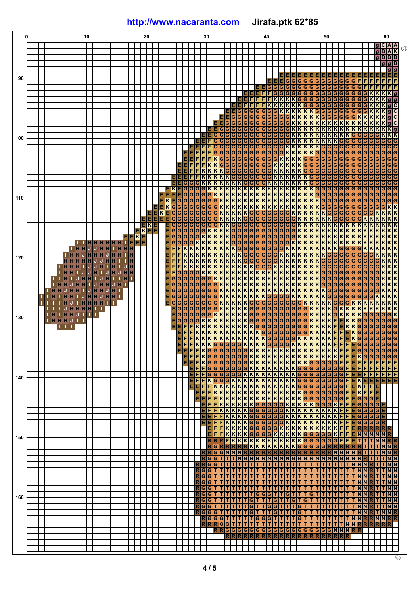## **<http://www.nacaranta.com>Jirafa.ptk 62\*85**